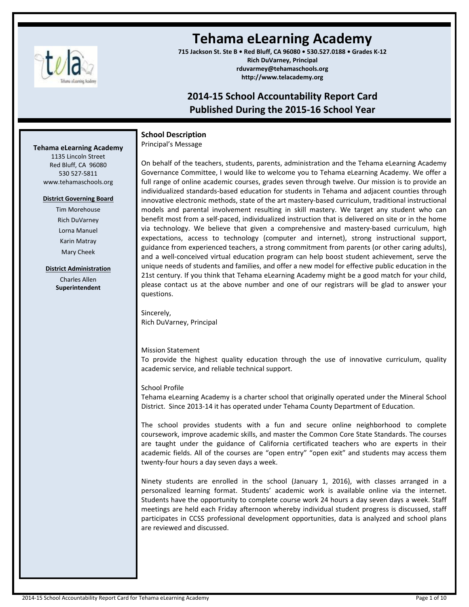

# **Tehama eLearning Academy**

**715 Jackson St. Ste B • Red Bluff, CA 96080 • 530.527.0188 • Grades K-12 Rich DuVarney, Principal rduvarmey@tehamaschools.org http://www.telacademy.org**

# **2014-15 School Accountability Report Card Published During the 2015-16 School Year**

# **School Description**

Principal's Message

On behalf of the teachers, students, parents, administration and the Tehama eLearning Academy Governance Committee, I would like to welcome you to Tehama eLearning Academy. We offer a full range of online academic courses, grades seven through twelve. Our mission is to provide an individualized standards-based education for students in Tehama and adjacent counties through innovative electronic methods, state of the art mastery-based curriculum, traditional instructional models and parental involvement resulting in skill mastery. We target any student who can benefit most from a self-paced, individualized instruction that is delivered on site or in the home via technology. We believe that given a comprehensive and mastery-based curriculum, high expectations, access to technology (computer and internet), strong instructional support, guidance from experienced teachers, a strong commitment from parents (or other caring adults), and a well-conceived virtual education program can help boost student achievement, serve the unique needs of students and families, and offer a new model for effective public education in the 21st century. If you think that Tehama eLearning Academy might be a good match for your child, please contact us at the above number and one of our registrars will be glad to answer your questions.

Sincerely, Rich DuVarney, Principal

# Mission Statement

To provide the highest quality education through the use of innovative curriculum, quality academic service, and reliable technical support.

# School Profile

Tehama eLearning Academy is a charter school that originally operated under the Mineral School District. Since 2013-14 it has operated under Tehama County Department of Education.

The school provides students with a fun and secure online neighborhood to complete coursework, improve academic skills, and master the Common Core State Standards. The courses are taught under the guidance of California certificated teachers who are experts in their academic fields. All of the courses are "open entry" "open exit" and students may access them twenty-four hours a day seven days a week.

Ninety students are enrolled in the school (January 1, 2016), with classes arranged in a personalized learning format. Students' academic work is available online via the internet. Students have the opportunity to complete course work 24 hours a day seven days a week. Staff meetings are held each Friday afternoon whereby individual student progress is discussed, staff participates in CCSS professional development opportunities, data is analyzed and school plans are reviewed and discussed.

# **Tehama eLearning Academy**

1135 Lincoln Street Red Bluff, CA 96080 530 527-5811 www.tehamaschools.org

#### **District Governing Board**

Tim Morehouse Rich DuVarney Lorna Manuel Karin Matray Mary Cheek

### **District Administration**

Charles Allen **Superintendent**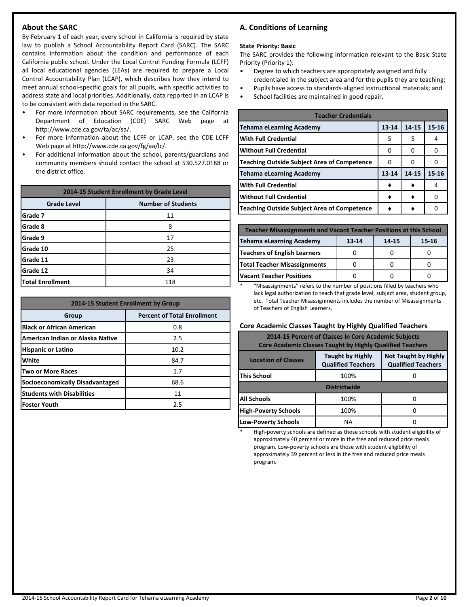# **About the SARC**

By February 1 of each year, every school in California is required by state law to publish a School Accountability Report Card (SARC). The SARC contains information about the condition and performance of each California public school. Under the Local Control Funding Formula (LCFF) all local educational agencies (LEAs) are required to prepare a Local Control Accountability Plan (LCAP), which describes how they intend to meet annual school-specific goals for all pupils, with specific activities to address state and local priorities. Additionally, data reported in an LCAP is to be consistent with data reported in the SARC.

- For more information about SARC requirements, see the California Department of Education (CDE) SARC Web page at http://www.cde.ca.gov/ta/ac/sa/.
- For more information about the LCFF or LCAP, see the CDE LCFF Web page at http://www.cde.ca.gov/fg/aa/lc/.
- For additional information about the school, parents/guardians and community members should contact the school at 530.527.0188 or the district office.

| 2014-15 Student Enrollment by Grade Level |                           |  |
|-------------------------------------------|---------------------------|--|
| <b>Grade Level</b>                        | <b>Number of Students</b> |  |
| Grade 7                                   | 11                        |  |
| Grade 8                                   | 8                         |  |
| Grade 9                                   | 17                        |  |
| <b>Grade 10</b>                           | 25                        |  |
| <b>Grade 11</b>                           | 23                        |  |
| Grade 12                                  | 34                        |  |
| Total Enrollment                          | 118                       |  |

| 2014-15 Student Enrollment by Group |                                    |  |  |
|-------------------------------------|------------------------------------|--|--|
| Group                               | <b>Percent of Total Enrollment</b> |  |  |
| <b>Black or African American</b>    | 0.8                                |  |  |
| American Indian or Alaska Native    | 2.5                                |  |  |
| <b>Hispanic or Latino</b>           | 10.2                               |  |  |
| <b>White</b>                        | 84.7                               |  |  |
| Two or More Races                   | 1.7                                |  |  |
| Socioeconomically Disadvantaged     | 68.6                               |  |  |
| <b>Students with Disabilities</b>   | 11                                 |  |  |
| lFoster Youth                       | 2.5                                |  |  |

# **A. Conditions of Learning**

#### **State Priority: Basic**

The SARC provides the following information relevant to the Basic State Priority (Priority 1):

- Degree to which teachers are appropriately assigned and fully credentialed in the subject area and for the pupils they are teaching;
- Pupils have access to standards-aligned instructional materials; and
- School facilities are maintained in good repair.

| <b>Teacher Credentials</b>                  |           |       |           |  |  |
|---------------------------------------------|-----------|-------|-----------|--|--|
| Tehama eLearning Academy                    | $13 - 14$ | 14-15 | $15 - 16$ |  |  |
| lWith Full Credential                       | 5         | 5     | 4         |  |  |
| lWithout Full Credential                    | 0         | 0     | Ω         |  |  |
| Teaching Outside Subject Area of Competence | Ω         | 0     |           |  |  |
| Tehama eLearning Academy                    | $13 - 14$ | 14-15 | $15 - 16$ |  |  |
| With Full Credential                        |           |       |           |  |  |
| Without Full Credential                     |           |       |           |  |  |
| Teaching Outside Subject Area of Competence |           |       |           |  |  |

| <b>Teacher Misassignments and Vacant Teacher Positions at this School</b> |           |       |       |  |  |
|---------------------------------------------------------------------------|-----------|-------|-------|--|--|
| Tehama eLearning Academy                                                  | $13 - 14$ | 14-15 | 15-16 |  |  |
| Teachers of English Learners                                              |           |       |       |  |  |
| <b>Total Teacher Misassignments</b>                                       |           |       |       |  |  |
| Vacant Teacher Positions                                                  |           |       |       |  |  |

\* "Misassignments" refers to the number of positions filled by teachers who lack legal authorization to teach that grade level, subject area, student group, etc. Total Teacher Misassignments includes the number of Misassignments of Teachers of English Learners.

# **Core Academic Classes Taught by Highly Qualified Teachers**

| 2014-15 Percent of Classes In Core Academic Subjects<br><b>Core Academic Classes Taught by Highly Qualified Teachers</b> |                                                      |                                                          |  |  |
|--------------------------------------------------------------------------------------------------------------------------|------------------------------------------------------|----------------------------------------------------------|--|--|
| <b>Location of Classes</b>                                                                                               | <b>Taught by Highly</b><br><b>Qualified Teachers</b> | <b>Not Taught by Highly</b><br><b>Qualified Teachers</b> |  |  |
| This School                                                                                                              | 100%                                                 |                                                          |  |  |
| <b>Districtwide</b>                                                                                                      |                                                      |                                                          |  |  |
| <b>All Schools</b>                                                                                                       | 100%                                                 |                                                          |  |  |
| <b>High-Poverty Schools</b>                                                                                              | 100%                                                 |                                                          |  |  |
| <b>Low-Poverty Schools</b><br>NА                                                                                         |                                                      |                                                          |  |  |

High-poverty schools are defined as those schools with student eligibility of approximately 40 percent or more in the free and reduced price meals program. Low-poverty schools are those with student eligibility of approximately 39 percent or less in the free and reduced price meals program.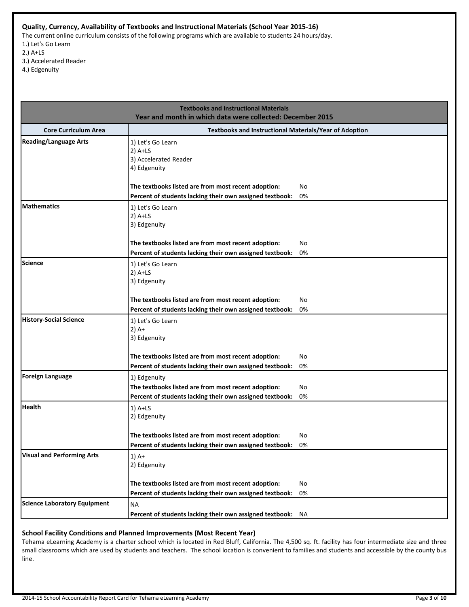## **Quality, Currency, Availability of Textbooks and Instructional Materials (School Year 2015-16)**

The current online curriculum consists of the following programs which are available to students 24 hours/day. 1.) Let's Go Learn

- 2.) A+LS
- 3.) Accelerated Reader
- 4.) Edgenuity

|                                     | <b>Textbooks and Instructional Materials</b>                                                                                                                                               |          |  |  |  |  |
|-------------------------------------|--------------------------------------------------------------------------------------------------------------------------------------------------------------------------------------------|----------|--|--|--|--|
|                                     | Year and month in which data were collected: December 2015                                                                                                                                 |          |  |  |  |  |
| <b>Core Curriculum Area</b>         | Textbooks and Instructional Materials/Year of Adoption                                                                                                                                     |          |  |  |  |  |
| <b>Reading/Language Arts</b>        | 1) Let's Go Learn<br>$2)$ A+LS<br>3) Accelerated Reader<br>4) Edgenuity<br>The textbooks listed are from most recent adoption:<br>Percent of students lacking their own assigned textbook: | No<br>0% |  |  |  |  |
| <b>Mathematics</b>                  | 1) Let's Go Learn<br>$2)$ A+LS<br>3) Edgenuity<br>The textbooks listed are from most recent adoption:<br>Percent of students lacking their own assigned textbook:                          | No<br>0% |  |  |  |  |
| <b>Science</b>                      | 1) Let's Go Learn<br>$2)$ A+LS<br>3) Edgenuity<br>The textbooks listed are from most recent adoption:<br>Percent of students lacking their own assigned textbook:                          | No<br>0% |  |  |  |  |
| <b>History-Social Science</b>       | 1) Let's Go Learn<br>$2)$ A+<br>3) Edgenuity<br>The textbooks listed are from most recent adoption:<br>Percent of students lacking their own assigned textbook:                            | No<br>0% |  |  |  |  |
| <b>Foreign Language</b>             | 1) Edgenuity<br>The textbooks listed are from most recent adoption:<br>Percent of students lacking their own assigned textbook:                                                            | No<br>0% |  |  |  |  |
| <b>Health</b>                       | $1)$ A+LS<br>2) Edgenuity<br>The textbooks listed are from most recent adoption:<br>Percent of students lacking their own assigned textbook: 0%                                            | No       |  |  |  |  |
| <b>Visual and Performing Arts</b>   | $1)$ A+<br>2) Edgenuity<br>The textbooks listed are from most recent adoption:<br>Percent of students lacking their own assigned textbook:                                                 | No<br>0% |  |  |  |  |
| <b>Science Laboratory Equipment</b> | <b>NA</b><br>Percent of students lacking their own assigned textbook:                                                                                                                      | NA.      |  |  |  |  |

# **School Facility Conditions and Planned Improvements (Most Recent Year)**

Tehama eLearning Academy is a charter school which is located in Red Bluff, California. The 4,500 sq. ft. facility has four intermediate size and three small classrooms which are used by students and teachers. The school location is convenient to families and students and accessible by the county bus line.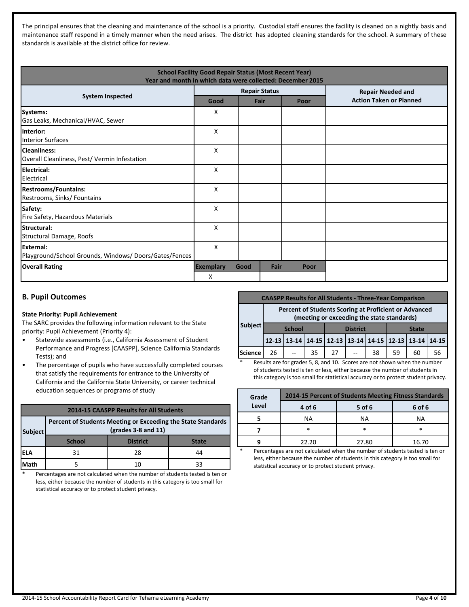The principal ensures that the cleaning and maintenance of the school is a priority. Custodial staff ensures the facility is cleaned on a nightly basis and maintenance staff respond in a timely manner when the need arises. The district has adopted cleaning standards for the school. A summary of these standards is available at the district office for review.

| <b>School Facility Good Repair Status (Most Recent Year)</b><br>Year and month in which data were collected: December 2015 |                       |      |                      |      |                                |
|----------------------------------------------------------------------------------------------------------------------------|-----------------------|------|----------------------|------|--------------------------------|
| <b>System Inspected</b>                                                                                                    |                       |      | <b>Repair Status</b> |      | <b>Repair Needed and</b>       |
|                                                                                                                            | Good                  |      | Fair                 | Poor | <b>Action Taken or Planned</b> |
| Systems:<br>Gas Leaks, Mechanical/HVAC, Sewer                                                                              | X                     |      |                      |      |                                |
| lInterior:<br>Interior Surfaces                                                                                            | X                     |      |                      |      |                                |
| lCleanliness:<br>Overall Cleanliness, Pest/ Vermin Infestation                                                             | X                     |      |                      |      |                                |
| Electrical:<br><b>IElectrical</b>                                                                                          | X                     |      |                      |      |                                |
| <b>Restrooms/Fountains:</b><br>Restrooms, Sinks/ Fountains                                                                 | X                     |      |                      |      |                                |
| Safety:<br>Fire Safety, Hazardous Materials                                                                                | X                     |      |                      |      |                                |
| <b>Structural:</b><br>Structural Damage, Roofs                                                                             | X                     |      |                      |      |                                |
| <b>IExternal:</b><br>Playground/School Grounds, Windows/Doors/Gates/Fences                                                 | X                     |      |                      |      |                                |
| <b>Overall Rating</b>                                                                                                      | <b>Exemplary</b><br>X | Good | Fair                 | Poor |                                |

# **B. Pupil Outcomes**

#### **State Priority: Pupil Achievement**

The SARC provides the following information relevant to the State priority: Pupil Achievement (Priority 4):

- Statewide assessments (i.e., California Assessment of Student Performance and Progress [CAASPP], Science California Standards Tests); and
- The percentage of pupils who have successfully completed courses that satisfy the requirements for entrance to the University of California and the California State University, or career technical education sequences or programs of study

| <b>2014-15 CAASPP Results for All Students</b> |                                                                                       |                 |              |
|------------------------------------------------|---------------------------------------------------------------------------------------|-----------------|--------------|
| <b>Subject</b>                                 | Percent of Students Meeting or Exceeding the State Standards<br>$(grades 3-8 and 11)$ |                 |              |
|                                                | <b>School</b>                                                                         | <b>District</b> | <b>State</b> |
| IELA                                           | 31                                                                                    | 28              | 44           |
| <b>Math</b>                                    |                                                                                       | 10              | 33           |

\* Percentages are not calculated when the number of students tested is ten or less, either because the number of students in this category is too small for statistical accuracy or to protect student privacy.

| <b>CAASPP Results for All Students - Three-Year Comparison</b> |                                                                                                     |  |                 |                                                       |  |    |              |    |    |
|----------------------------------------------------------------|-----------------------------------------------------------------------------------------------------|--|-----------------|-------------------------------------------------------|--|----|--------------|----|----|
|                                                                | Percent of Students Scoring at Proficient or Advanced<br>(meeting or exceeding the state standards) |  |                 |                                                       |  |    |              |    |    |
| Subject                                                        | <b>School</b>                                                                                       |  | <b>District</b> |                                                       |  |    | <b>State</b> |    |    |
|                                                                |                                                                                                     |  |                 | 12-13 13-14 14-15 12-13 13-14 14-15 12-13 13-14 14-15 |  |    |              |    |    |
| Science                                                        | 26                                                                                                  |  | 35              | 27                                                    |  | 38 | 59           | 60 | 56 |

Results are for grades 5, 8, and 10. Scores are not shown when the number of students tested is ten or less, either because the number of students in this category is too small for statistical accuracy or to protect student privacy.

| Grade | 2014-15 Percent of Students Meeting Fitness Standards |        |        |  |
|-------|-------------------------------------------------------|--------|--------|--|
| Level | 4 of 6                                                | 5 of 6 | 6 of 6 |  |
|       | NА                                                    | NА     | ΝA     |  |
|       | *                                                     |        |        |  |
|       | 22.20                                                 | 27.80  | 16.70  |  |

Percentages are not calculated when the number of students tested is ten or less, either because the number of students in this category is too small for statistical accuracy or to protect student privacy.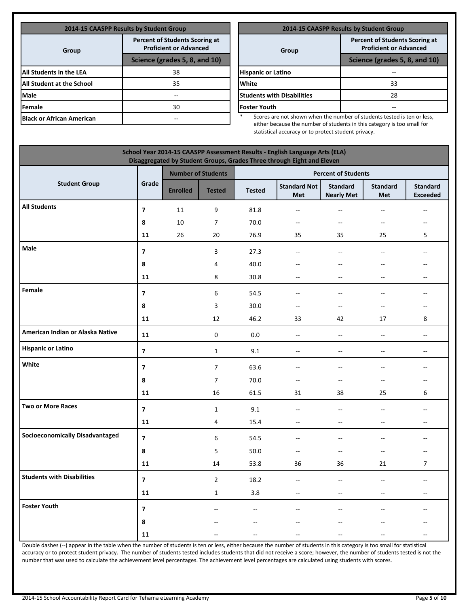| 2014-15 CAASPP Results by Student Group |                                                                        |  |  |  |
|-----------------------------------------|------------------------------------------------------------------------|--|--|--|
| Group                                   | <b>Percent of Students Scoring at</b><br><b>Proficient or Advanced</b> |  |  |  |
|                                         | Science (grades 5, 8, and 10)                                          |  |  |  |
| All Students in the LEA                 | 38                                                                     |  |  |  |
| All Student at the School               | 35                                                                     |  |  |  |
| Male                                    | --                                                                     |  |  |  |
| Female                                  | 30                                                                     |  |  |  |
| <b>Black or African American</b>        |                                                                        |  |  |  |

| <b>2014-15 CAASPP Results by Student Group</b>                         |  |  |  |
|------------------------------------------------------------------------|--|--|--|
| <b>Percent of Students Scoring at</b><br><b>Proficient or Advanced</b> |  |  |  |
| Science (grades 5, 8, and 10)                                          |  |  |  |
|                                                                        |  |  |  |
| 33                                                                     |  |  |  |
| 28                                                                     |  |  |  |
|                                                                        |  |  |  |
|                                                                        |  |  |  |

Scores are not shown when the number of students tested is ten or less, either because the number of students in this category is too small for statistical accuracy or to protect student privacy.

|                                        |                         |                 |                           |               |                                   |                                      |                               | School Year 2014-15 CAASPP Assessment Results - English Language Arts (ELA)<br>Disaggregated by Student Groups, Grades Three through Eight and Eleven |  |  |  |  |  |  |  |  |  |  |  |
|----------------------------------------|-------------------------|-----------------|---------------------------|---------------|-----------------------------------|--------------------------------------|-------------------------------|-------------------------------------------------------------------------------------------------------------------------------------------------------|--|--|--|--|--|--|--|--|--|--|--|
|                                        |                         |                 | <b>Number of Students</b> |               |                                   | <b>Percent of Students</b>           |                               |                                                                                                                                                       |  |  |  |  |  |  |  |  |  |  |  |
| <b>Student Group</b>                   | Grade                   | <b>Enrolled</b> | <b>Tested</b>             | <b>Tested</b> | <b>Standard Not</b><br><b>Met</b> | <b>Standard</b><br><b>Nearly Met</b> | <b>Standard</b><br><b>Met</b> | <b>Standard</b><br><b>Exceeded</b>                                                                                                                    |  |  |  |  |  |  |  |  |  |  |  |
| <b>All Students</b>                    | $\overline{7}$          | 11              | 9                         | 81.8          | --                                | $\overline{a}$                       | $-$                           | $\sim$ $\sim$                                                                                                                                         |  |  |  |  |  |  |  |  |  |  |  |
|                                        | 8                       | 10              | $\overline{7}$            | 70.0          | ۰.                                | $\qquad \qquad -$                    | --                            | $\overline{\phantom{a}}$                                                                                                                              |  |  |  |  |  |  |  |  |  |  |  |
|                                        | 11                      | 26              | 20                        | 76.9          | 35                                | 35                                   | 25                            | 5                                                                                                                                                     |  |  |  |  |  |  |  |  |  |  |  |
| Male                                   | $\overline{7}$          |                 | 3                         | 27.3          | $\overline{a}$                    | $\overline{a}$                       | $\overline{\phantom{a}}$      | $\sim$                                                                                                                                                |  |  |  |  |  |  |  |  |  |  |  |
|                                        | 8                       |                 | 4                         | 40.0          | $-$                               | --                                   | --                            |                                                                                                                                                       |  |  |  |  |  |  |  |  |  |  |  |
|                                        | 11                      |                 | 8                         | 30.8          | $-$                               | $\overline{a}$                       | $-$                           | $\overline{\phantom{a}}$                                                                                                                              |  |  |  |  |  |  |  |  |  |  |  |
| Female                                 | $\overline{\mathbf{z}}$ |                 | 6                         | 54.5          | --                                | $\overline{a}$                       | $-$                           |                                                                                                                                                       |  |  |  |  |  |  |  |  |  |  |  |
|                                        | 8                       |                 | $\mathsf 3$               | 30.0          | --                                | $\hspace{0.05cm} \dashv$             | --                            | $\overline{\phantom{a}}$                                                                                                                              |  |  |  |  |  |  |  |  |  |  |  |
|                                        | 11                      |                 | 12                        | 46.2          | 33                                | 42                                   | 17                            | 8                                                                                                                                                     |  |  |  |  |  |  |  |  |  |  |  |
| American Indian or Alaska Native       | 11                      |                 | $\mathbf 0$               | 0.0           | $\overline{\phantom{a}}$          | ÷.                                   | $\overline{\phantom{a}}$      | $\overline{\phantom{a}}$                                                                                                                              |  |  |  |  |  |  |  |  |  |  |  |
| <b>Hispanic or Latino</b>              | $\overline{\mathbf{z}}$ |                 | $\mathbf{1}$              | 9.1           | $\overline{\phantom{a}}$          | $\overline{\phantom{a}}$             | $\overline{\phantom{a}}$      | $\overline{\phantom{a}}$                                                                                                                              |  |  |  |  |  |  |  |  |  |  |  |
| White                                  | $\overline{\mathbf{z}}$ |                 | $\overline{7}$            | 63.6          | $\overline{a}$                    | $\overline{a}$                       | Ξ.                            | $\sim$                                                                                                                                                |  |  |  |  |  |  |  |  |  |  |  |
|                                        | 8                       |                 | $\boldsymbol{7}$          | 70.0          | --                                | $\overline{\phantom{a}}$             | $\overline{a}$                | $-$                                                                                                                                                   |  |  |  |  |  |  |  |  |  |  |  |
|                                        | 11                      |                 | 16                        | 61.5          | 31                                | 38                                   | 25                            | 6                                                                                                                                                     |  |  |  |  |  |  |  |  |  |  |  |
| <b>Two or More Races</b>               | $\overline{\mathbf{z}}$ |                 | $\mathbf 1$               | 9.1           | $\overline{\phantom{a}}$          | $\overline{a}$                       | $-$                           |                                                                                                                                                       |  |  |  |  |  |  |  |  |  |  |  |
|                                        | 11                      |                 | 4                         | 15.4          | --                                | $\qquad \qquad -$                    | --                            | $\overline{\phantom{a}}$                                                                                                                              |  |  |  |  |  |  |  |  |  |  |  |
| <b>Socioeconomically Disadvantaged</b> | $\overline{7}$          |                 | 6                         | 54.5          | $-$                               | $\overline{\phantom{a}}$             | $-$                           |                                                                                                                                                       |  |  |  |  |  |  |  |  |  |  |  |
|                                        | 8                       |                 | 5                         | 50.0          | --                                | $\overline{\phantom{a}}$             | --                            |                                                                                                                                                       |  |  |  |  |  |  |  |  |  |  |  |
|                                        | 11                      |                 | 14                        | 53.8          | 36                                | 36                                   | 21                            | $\overline{7}$                                                                                                                                        |  |  |  |  |  |  |  |  |  |  |  |
| <b>Students with Disabilities</b>      | $\overline{7}$          |                 | $\overline{2}$            | 18.2          | $\overline{\phantom{a}}$          | $\overline{\phantom{a}}$             | Ξ.                            | $\sim$                                                                                                                                                |  |  |  |  |  |  |  |  |  |  |  |
|                                        | 11                      |                 | $\mathbf{1}$              | 3.8           | $\overline{\phantom{a}}$          | $\overline{\phantom{a}}$             | $\overline{a}$                | $\overline{\phantom{a}}$                                                                                                                              |  |  |  |  |  |  |  |  |  |  |  |
| <b>Foster Youth</b>                    | $\overline{7}$          |                 |                           | --            | $-$                               | $\overline{\phantom{a}}$             | --                            |                                                                                                                                                       |  |  |  |  |  |  |  |  |  |  |  |
|                                        | 8                       |                 |                           | $-$           |                                   |                                      | $-$                           |                                                                                                                                                       |  |  |  |  |  |  |  |  |  |  |  |
|                                        | 11                      |                 |                           |               |                                   |                                      |                               |                                                                                                                                                       |  |  |  |  |  |  |  |  |  |  |  |

Double dashes (--) appear in the table when the number of students is ten or less, either because the number of students in this category is too small for statistical accuracy or to protect student privacy. The number of students tested includes students that did not receive a score; however, the number of students tested is not the number that was used to calculate the achievement level percentages. The achievement level percentages are calculated using students with scores.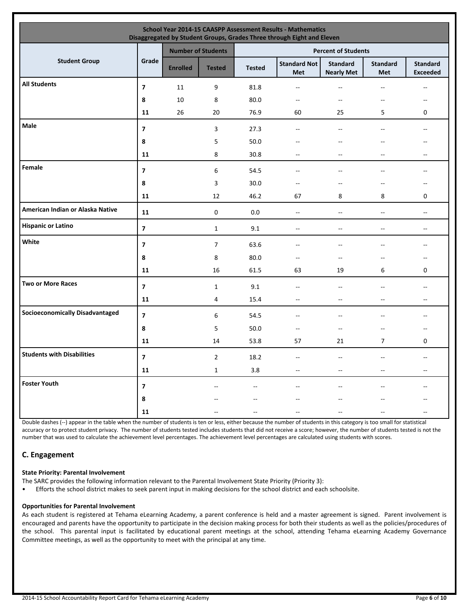| School Year 2014-15 CAASPP Assessment Results - Mathematics<br>Disaggregated by Student Groups, Grades Three through Eight and Eleven |                         |                 |                           |               |                            |                                      |                          |                                                     |  |  |  |
|---------------------------------------------------------------------------------------------------------------------------------------|-------------------------|-----------------|---------------------------|---------------|----------------------------|--------------------------------------|--------------------------|-----------------------------------------------------|--|--|--|
|                                                                                                                                       |                         |                 | <b>Number of Students</b> |               |                            | <b>Percent of Students</b>           |                          |                                                     |  |  |  |
| <b>Student Group</b>                                                                                                                  | Grade                   | <b>Enrolled</b> | <b>Tested</b>             | <b>Tested</b> | <b>Standard Not</b><br>Met | <b>Standard</b><br><b>Nearly Met</b> | <b>Standard</b><br>Met   | <b>Standard</b><br><b>Exceeded</b>                  |  |  |  |
| <b>All Students</b>                                                                                                                   | $\overline{7}$          | $11\,$          | 9                         | 81.8          | $- -$                      | $\overline{\phantom{a}}$             | $-$                      | $- -$                                               |  |  |  |
|                                                                                                                                       | 8                       | 10              | 8                         | 80.0          | $- -$                      | $\overline{\phantom{a}}$             | $\overline{\phantom{a}}$ | $\overline{\phantom{a}}$                            |  |  |  |
|                                                                                                                                       | 11                      | 26              | 20                        | 76.9          | 60                         | 25                                   | 5                        | 0                                                   |  |  |  |
| Male                                                                                                                                  | $\overline{ }$          |                 | 3                         | 27.3          | $\overline{a}$             | $-$                                  | $\overline{\phantom{a}}$ | $\frac{1}{2}$                                       |  |  |  |
|                                                                                                                                       | 8                       |                 | 5                         | 50.0          |                            |                                      |                          | --                                                  |  |  |  |
|                                                                                                                                       | 11                      |                 | 8                         | 30.8          | --                         | $\sim$                               | $\overline{\phantom{a}}$ | $\overline{\phantom{a}}$                            |  |  |  |
| Female                                                                                                                                | $\overline{z}$          |                 | 6                         | 54.5          | --                         |                                      | --                       | --                                                  |  |  |  |
|                                                                                                                                       | 8                       |                 | 3                         | 30.0          | --                         | $-$                                  | --                       | --                                                  |  |  |  |
|                                                                                                                                       | 11                      |                 | 12                        | 46.2          | 67                         | 8                                    | 8                        | 0                                                   |  |  |  |
| American Indian or Alaska Native                                                                                                      | 11                      |                 | $\pmb{0}$                 | 0.0           | $-$                        | $\overline{\phantom{a}}$             | $\qquad \qquad -$        | $-$                                                 |  |  |  |
| <b>Hispanic or Latino</b>                                                                                                             | $\overline{\mathbf{z}}$ |                 | $\mathbf{1}$              | 9.1           | $-$                        | $\overline{\phantom{a}}$             | $\qquad \qquad -$        | $- -$                                               |  |  |  |
| White                                                                                                                                 | $\overline{\mathbf{z}}$ |                 | $\overline{7}$            | 63.6          | --                         | $\overline{a}$                       | $\overline{a}$           | $- -$                                               |  |  |  |
|                                                                                                                                       | 8                       |                 | 8                         | 80.0          | $-$                        |                                      | --                       | --                                                  |  |  |  |
|                                                                                                                                       | 11                      |                 | 16                        | 61.5          | 63                         | 19                                   | 6                        | 0                                                   |  |  |  |
| <b>Two or More Races</b>                                                                                                              | $\overline{\mathbf{z}}$ |                 | $\mathbf{1}$              | 9.1           | --                         | $\sim$                               | --                       | --                                                  |  |  |  |
|                                                                                                                                       | 11                      |                 | 4                         | 15.4          | $- -$                      | $\overline{\phantom{a}}$             | $-$                      | $- -$                                               |  |  |  |
| <b>Socioeconomically Disadvantaged</b>                                                                                                | $\overline{7}$          |                 | 6                         | 54.5          | --                         | $\overline{a}$                       | --                       | $\hspace{0.05cm} -\hspace{0.05cm} -\hspace{0.05cm}$ |  |  |  |
|                                                                                                                                       | 8                       |                 | 5                         | 50.0          | $- -$                      | $\overline{\phantom{a}}$             | $\overline{\phantom{a}}$ | $-$                                                 |  |  |  |
|                                                                                                                                       | 11                      |                 | 14                        | 53.8          | 57                         | 21                                   | $\overline{7}$           | 0                                                   |  |  |  |
| <b>Students with Disabilities</b>                                                                                                     | $\overline{\mathbf{z}}$ |                 | $\overline{2}$            | 18.2          | $\sim$ $-$                 | $\sim$ $\sim$                        |                          |                                                     |  |  |  |
|                                                                                                                                       | 11                      |                 | $\mathbf{1}$              | 3.8           | $-$                        |                                      | --                       | --                                                  |  |  |  |
| <b>Foster Youth</b>                                                                                                                   | $\overline{\mathbf{z}}$ |                 | $-$                       | $\frac{1}{2}$ |                            |                                      |                          | $-$                                                 |  |  |  |
|                                                                                                                                       | 8                       |                 |                           |               |                            |                                      |                          |                                                     |  |  |  |
|                                                                                                                                       | 11                      |                 |                           |               |                            |                                      |                          |                                                     |  |  |  |

Double dashes (--) appear in the table when the number of students is ten or less, either because the number of students in this category is too small for statistical accuracy or to protect student privacy. The number of students tested includes students that did not receive a score; however, the number of students tested is not the number that was used to calculate the achievement level percentages. The achievement level percentages are calculated using students with scores.

# **C. Engagement**

#### **State Priority: Parental Involvement**

The SARC provides the following information relevant to the Parental Involvement State Priority (Priority 3):

• Efforts the school district makes to seek parent input in making decisions for the school district and each schoolsite.

#### **Opportunities for Parental Involvement**

As each student is registered at Tehama eLearning Academy, a parent conference is held and a master agreement is signed. Parent involvement is encouraged and parents have the opportunity to participate in the decision making process for both their students as well as the policies/procedures of the school. This parental input is facilitated by educational parent meetings at the school, attending Tehama eLearning Academy Governance Committee meetings, as well as the opportunity to meet with the principal at any time.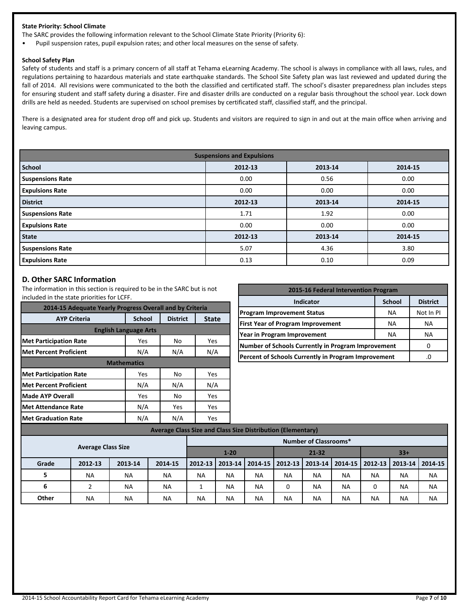#### **State Priority: School Climate**

The SARC provides the following information relevant to the School Climate State Priority (Priority 6):

• Pupil suspension rates, pupil expulsion rates; and other local measures on the sense of safety.

#### **School Safety Plan**

Safety of students and staff is a primary concern of all staff at Tehama eLearning Academy. The school is always in compliance with all laws, rules, and regulations pertaining to hazardous materials and state earthquake standards. The School Site Safety plan was last reviewed and updated during the fall of 2014. All revisions were communicated to the both the classified and certificated staff. The school's disaster preparedness plan includes steps for ensuring student and staff safety during a disaster. Fire and disaster drills are conducted on a regular basis throughout the school year. Lock down drills are held as needed. Students are supervised on school premises by certificated staff, classified staff, and the principal.

There is a designated area for student drop off and pick up. Students and visitors are required to sign in and out at the main office when arriving and leaving campus.

| <b>Suspensions and Expulsions</b> |         |         |         |  |  |  |  |  |  |
|-----------------------------------|---------|---------|---------|--|--|--|--|--|--|
| <b>School</b>                     | 2012-13 | 2013-14 | 2014-15 |  |  |  |  |  |  |
| <b>Suspensions Rate</b>           | 0.00    | 0.56    | 0.00    |  |  |  |  |  |  |
| <b>Expulsions Rate</b>            | 0.00    | 0.00    | 0.00    |  |  |  |  |  |  |
| <b>District</b>                   | 2012-13 | 2013-14 | 2014-15 |  |  |  |  |  |  |
| <b>Suspensions Rate</b>           | 1.71    | 1.92    | 0.00    |  |  |  |  |  |  |
| <b>Expulsions Rate</b>            | 0.00    | 0.00    | 0.00    |  |  |  |  |  |  |
| <b>State</b>                      | 2012-13 | 2013-14 | 2014-15 |  |  |  |  |  |  |
| <b>Suspensions Rate</b>           | 5.07    | 4.36    | 3.80    |  |  |  |  |  |  |
| <b>Expulsions Rate</b>            | 0.13    | 0.10    | 0.09    |  |  |  |  |  |  |

#### **D. Other SARC Information**

The information in this section is required to be in the SARC but is not included in the state priorities for LCFF.

**Met Attendance Rate N/A | Yes | Yes** 

**Met Graduation Rate N/A** N/A N/A

| included in the state priorities for ECFF.               |                              |                 |              | Indicator                                           | <b>School</b> | <b>District</b> |  |
|----------------------------------------------------------|------------------------------|-----------------|--------------|-----------------------------------------------------|---------------|-----------------|--|
| 2014-15 Adequate Yearly Progress Overall and by Criteria |                              |                 |              | <b>Program Improvement Status</b>                   | <b>NA</b>     | Not In PI       |  |
| <b>AYP Criteria</b>                                      | <b>School</b>                | <b>District</b> | <b>State</b> |                                                     |               |                 |  |
|                                                          |                              |                 |              | <b>First Year of Program Improvement</b>            | <b>NA</b>     | <b>NA</b>       |  |
|                                                          | <b>English Language Arts</b> |                 |              | Year in Program Improvement                         | <b>NA</b>     | <b>NA</b>       |  |
| Met Participation Rate                                   | Yes                          | No              | Yes          | Number of Schools Currently in Program Improvement  |               |                 |  |
| <b>Met Percent Proficient</b>                            | N/A                          | N/A             | N/A          | Percent of Schools Currently in Program Improvement |               |                 |  |
|                                                          | <b>Mathematics</b>           |                 |              |                                                     |               |                 |  |
| <b>Met Participation Rate</b>                            | <b>Yes</b>                   | No              | Yes          |                                                     |               |                 |  |
| <b>IMet Percent Proficient</b>                           | N/A                          | N/A             | N/A          |                                                     |               |                 |  |
| <b>Made AYP Overall</b>                                  | Yes                          | <b>No</b>       | Yes          |                                                     |               |                 |  |

**2015-16 Federal Intervention Program**

|                           | Average Class Size and Class Size Distribution (Elementary) |           |           |           |                              |                    |           |                   |           |                   |                   |           |  |
|---------------------------|-------------------------------------------------------------|-----------|-----------|-----------|------------------------------|--------------------|-----------|-------------------|-----------|-------------------|-------------------|-----------|--|
|                           |                                                             |           |           |           | <b>Number of Classrooms*</b> |                    |           |                   |           |                   |                   |           |  |
| <b>Average Class Size</b> |                                                             |           |           | $1 - 20$  |                              | $21 - 32$<br>$33+$ |           |                   |           |                   |                   |           |  |
| Grade                     | 2012-13                                                     | 2013-14   | 2014-15   | 2012-13   | 2013-14                      | 2014-15            |           | 2012-13   2013-14 |           | 2014-15   2012-13 | 2013-14   2014-15 |           |  |
| 5                         | <b>NA</b>                                                   | <b>NA</b> | <b>NA</b> | <b>NA</b> | <b>NA</b>                    | <b>NA</b>          | <b>NA</b> | <b>NA</b>         | <b>NA</b> | <b>NA</b>         | <b>NA</b>         | <b>NA</b> |  |
| 6                         |                                                             | <b>NA</b> | <b>NA</b> |           | <b>NA</b>                    | <b>NA</b>          | 0         | <b>NA</b>         | <b>NA</b> |                   | <b>NA</b>         | <b>NA</b> |  |
| Other                     | NA                                                          | <b>NA</b> | <b>NA</b> | <b>NA</b> | <b>NA</b>                    | <b>NA</b>          | <b>NA</b> | <b>NA</b>         | <b>NA</b> | <b>NA</b>         | <b>NA</b>         | <b>NA</b> |  |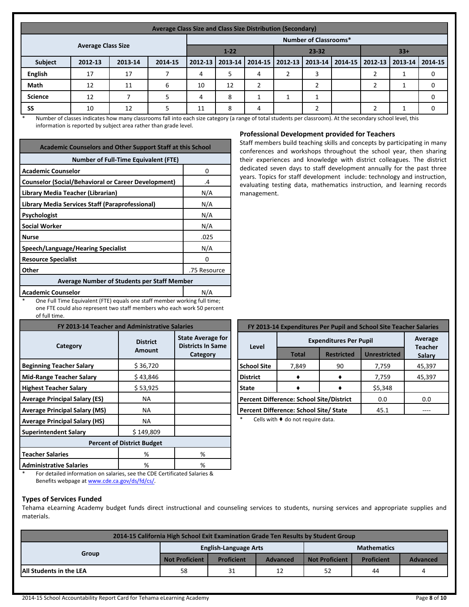|                | Average Class Size and Class Size Distribution (Secondary) |         |         |                       |    |                   |  |                              |       |  |                                                           |  |
|----------------|------------------------------------------------------------|---------|---------|-----------------------|----|-------------------|--|------------------------------|-------|--|-----------------------------------------------------------|--|
|                |                                                            |         |         |                       |    |                   |  | <b>Number of Classrooms*</b> |       |  |                                                           |  |
|                | <b>Average Class Size</b>                                  |         |         | $1 - 22$<br>$23 - 32$ |    |                   |  |                              | $33+$ |  |                                                           |  |
| <b>Subject</b> | 2012-13                                                    | 2013-14 | 2014-15 | 2012-13               |    | 2013-14   2014-15 |  |                              |       |  | 2012-13   2013-14   2014-15   2012-13   2013-14   2014-15 |  |
| <b>English</b> | 17                                                         | 17      |         | 4                     |    | 4                 |  |                              |       |  |                                                           |  |
| Math           | 12                                                         | 11      | 6       | 10                    | 12 |                   |  |                              |       |  |                                                           |  |
| <b>Science</b> | 12                                                         |         |         | 4                     | 8  |                   |  |                              |       |  |                                                           |  |
| SS             | 10                                                         | 12      |         | 11                    | 8  | 4                 |  |                              |       |  |                                                           |  |

\* Number of classes indicates how many classrooms fall into each size category (a range of total students per classroom). At the secondary school level, this information is reported by subject area rather than grade level.

| <b>Academic Counselors and Other Support Staff at this School</b> |              |  |  |  |  |  |  |
|-------------------------------------------------------------------|--------------|--|--|--|--|--|--|
| <b>Number of Full-Time Equivalent (FTE)</b>                       |              |  |  |  |  |  |  |
| <b>Academic Counselor</b>                                         | 0            |  |  |  |  |  |  |
| <b>Counselor (Social/Behavioral or Career Development)</b>        | .4           |  |  |  |  |  |  |
| Library Media Teacher (Librarian)                                 | N/A          |  |  |  |  |  |  |
| Library Media Services Staff (Paraprofessional)                   | N/A          |  |  |  |  |  |  |
| Psychologist                                                      | N/A          |  |  |  |  |  |  |
| <b>Social Worker</b>                                              | N/A          |  |  |  |  |  |  |
| <b>Nurse</b>                                                      | .025         |  |  |  |  |  |  |
| Speech/Language/Hearing Specialist                                | N/A          |  |  |  |  |  |  |
| <b>Resource Specialist</b>                                        | 0            |  |  |  |  |  |  |
| Other                                                             | .75 Resource |  |  |  |  |  |  |
| <b>Average Number of Students per Staff Member</b>                |              |  |  |  |  |  |  |
| <b>Academic Counselor</b>                                         | N/A          |  |  |  |  |  |  |

One Full Time Equivalent (FTE) equals one staff member working full time; one FTE could also represent two staff members who each work 50 percent of full time.

| FY 2013-14 Teacher and Administrative Salaries |                           |                                                                  |  |  |  |  |  |  |
|------------------------------------------------|---------------------------|------------------------------------------------------------------|--|--|--|--|--|--|
| Category                                       | <b>District</b><br>Amount | <b>State Average for</b><br><b>Districts In Same</b><br>Category |  |  |  |  |  |  |
| <b>Beginning Teacher Salary</b>                | \$36,720                  |                                                                  |  |  |  |  |  |  |
| <b>Mid-Range Teacher Salary</b>                | \$43,846                  |                                                                  |  |  |  |  |  |  |
| <b>Highest Teacher Salary</b>                  | \$53,925                  |                                                                  |  |  |  |  |  |  |
| <b>Average Principal Salary (ES)</b>           | ΝA                        |                                                                  |  |  |  |  |  |  |
| <b>Average Principal Salary (MS)</b>           | ΝA                        |                                                                  |  |  |  |  |  |  |
| <b>Average Principal Salary (HS)</b>           | NA                        |                                                                  |  |  |  |  |  |  |
| <b>Superintendent Salary</b>                   | \$149,809                 |                                                                  |  |  |  |  |  |  |
| <b>Percent of District Budget</b>              |                           |                                                                  |  |  |  |  |  |  |
| <b>Teacher Salaries</b>                        | %                         | %                                                                |  |  |  |  |  |  |
| <b>Administrative Salaries</b>                 | ℅                         | %                                                                |  |  |  |  |  |  |

|  | <b>Professional Development provided for Teachers</b> |  |  |  |
|--|-------------------------------------------------------|--|--|--|
|--|-------------------------------------------------------|--|--|--|

Staff members build teaching skills and concepts by participating in many conferences and workshops throughout the school year, then sharing their experiences and knowledge with district colleagues. The district dedicated seven days to staff development annually for the past three years. Topics for staff development include: technology and instruction, evaluating testing data, mathematics instruction, and learning records management.

| FY 2013-14 Expenditures Per Pupil and School Site Teacher Salaries |                                          |                   |                     |                          |  |  |  |  |  |
|--------------------------------------------------------------------|------------------------------------------|-------------------|---------------------|--------------------------|--|--|--|--|--|
| Level                                                              | <b>Expenditures Per Pupil</b>            | Average           |                     |                          |  |  |  |  |  |
|                                                                    | <b>Total</b>                             | <b>Restricted</b> | <b>Unrestricted</b> | <b>Teacher</b><br>Salary |  |  |  |  |  |
| School Site                                                        | 7,849                                    | 90                | 7,759               | 45,397                   |  |  |  |  |  |
| l District                                                         |                                          |                   | 7,759               | 45,397                   |  |  |  |  |  |
| l State                                                            |                                          |                   | \$5,348             |                          |  |  |  |  |  |
|                                                                    | Percent Difference: School Site/District | 0.0               | 0.0                 |                          |  |  |  |  |  |
|                                                                    | Percent Difference: School Site/ State   |                   | 45.1                |                          |  |  |  |  |  |

Cells with  $\blacklozenge$  do not require data.

For detailed information on salaries, see the CDE Certificated Salaries & Benefits webpage at [www.cde.ca.gov/ds/fd/cs/](http://www.cde.ca.gov/ds/fd/cs/).

#### **Types of Services Funded**

Tehama eLearning Academy budget funds direct instructional and counseling services to students, nursing services and appropriate supplies and materials.

| 2014-15 California High School Exit Examination Grade Ten Results by Student Group |                       |                              |          |                       |                   |                 |  |  |
|------------------------------------------------------------------------------------|-----------------------|------------------------------|----------|-----------------------|-------------------|-----------------|--|--|
| Group                                                                              |                       | <b>English-Language Arts</b> |          | <b>Mathematics</b>    |                   |                 |  |  |
|                                                                                    | <b>Not Proficient</b> | <b>Proficient</b>            | Advanced | <b>Not Proficient</b> | <b>Proficient</b> | <b>Advanced</b> |  |  |
| <b>All Students in the LEA</b>                                                     | 58                    | 31                           | 12       | 52                    | 44                | 4               |  |  |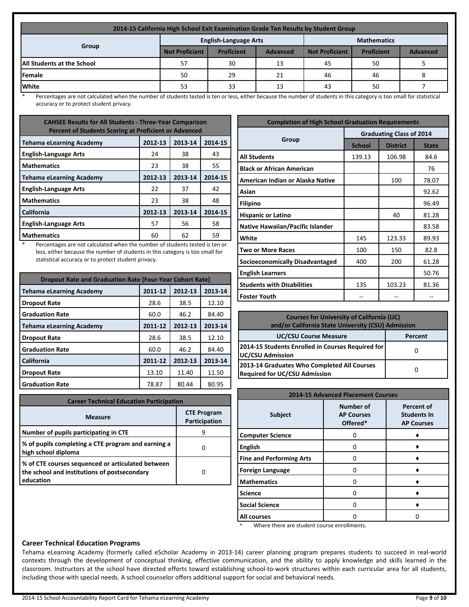| 2014-15 California High School Exit Examination Grade Ten Results by Student Group |                       |                              |                 |                       |                   |                 |  |  |
|------------------------------------------------------------------------------------|-----------------------|------------------------------|-----------------|-----------------------|-------------------|-----------------|--|--|
| Group                                                                              |                       | <b>English-Language Arts</b> |                 | <b>Mathematics</b>    |                   |                 |  |  |
|                                                                                    | <b>Not Proficient</b> | <b>Proficient</b>            | <b>Advanced</b> | <b>Not Proficient</b> | <b>Proficient</b> | <b>Advanced</b> |  |  |
| <b>All Students at the School</b>                                                  | 57                    | 30                           | 13              | 45                    | 50                |                 |  |  |
| <b>IFemale</b>                                                                     | 50                    | 29                           | 21              | 46                    | 46                |                 |  |  |
| <b>White</b>                                                                       | 53                    | 33                           | 13              | 43                    | 50                |                 |  |  |

Percentages are not calculated when the number of students tested is ten or less, either because the number of students in this category is too small for statistical accuracy or to protect student privacy.

| <b>CAHSEE Results for All Students - Three-Year Comparison</b><br><b>Percent of Students Scoring at Proficient or Advanced</b> |         |         |         |
|--------------------------------------------------------------------------------------------------------------------------------|---------|---------|---------|
| <b>Tehama eLearning Academy</b>                                                                                                | 2012-13 | 2013-14 | 2014-15 |
| <b>English-Language Arts</b>                                                                                                   | 24      | 38      | 43      |
| <b>Mathematics</b>                                                                                                             | 23      | 38      | 55      |
| <b>Tehama eLearning Academy</b>                                                                                                | 2012-13 | 2013-14 | 2014-15 |
| <b>English-Language Arts</b>                                                                                                   | 22      | 37      | 42      |
| <b>Mathematics</b>                                                                                                             | 23      | 38      | 48      |
| <b>California</b>                                                                                                              | 2012-13 | 2013-14 | 2014-15 |
| <b>English-Language Arts</b>                                                                                                   | 57      | 56      | 58      |
| <b>Mathematics</b>                                                                                                             | 60      | 62      | 59      |

Percentages are not calculated when the number of students tested is ten or less, either because the number of students in this category is too small for statistical accuracy or to protect student privacy.

| <b>Dropout Rate and Graduation Rate (Four-Year Cohort Rate)</b> |         |         |         |
|-----------------------------------------------------------------|---------|---------|---------|
| <b>Tehama eLearning Academy</b>                                 | 2011-12 | 2012-13 | 2013-14 |
| <b>Dropout Rate</b>                                             | 28.6    | 38.5    | 12.10   |
| <b>Graduation Rate</b>                                          | 60.0    | 46.2    | 84.40   |
| <b>Tehama eLearning Academy</b>                                 | 2011-12 | 2012-13 | 2013-14 |
| <b>Dropout Rate</b>                                             | 28.6    | 38.5    | 12.10   |
| <b>Graduation Rate</b>                                          | 60.0    | 46.2    | 84.40   |
| California                                                      | 2011-12 | 2012-13 | 2013-14 |
| <b>Dropout Rate</b>                                             | 13.10   | 11.40   | 11.50   |
| <b>Graduation Rate</b>                                          | 78.87   | 80.44   | 80.95   |

| <b>Career Technical Education Participation</b>                                                                |                                     |  |
|----------------------------------------------------------------------------------------------------------------|-------------------------------------|--|
| <b>Measure</b>                                                                                                 | <b>CTE Program</b><br>Participation |  |
| Number of pupils participating in CTE                                                                          | q                                   |  |
| % of pupils completing a CTE program and earning a<br>high school diploma                                      |                                     |  |
| % of CTE courses sequenced or articulated between<br>the school and institutions of postsecondary<br>education |                                     |  |

| <b>Completion of High School Graduation Requirements</b> |                                 |                 |              |  |
|----------------------------------------------------------|---------------------------------|-----------------|--------------|--|
| Group                                                    | <b>Graduating Class of 2014</b> |                 |              |  |
|                                                          | <b>School</b>                   | <b>District</b> | <b>State</b> |  |
| <b>All Students</b>                                      | 139.13                          | 106.98          | 84.6         |  |
| <b>Black or African American</b>                         |                                 |                 | 76           |  |
| American Indian or Alaska Native                         |                                 | 100             | 78.07        |  |
| Asian                                                    |                                 |                 | 92.62        |  |
| <b>Filipino</b>                                          |                                 |                 | 96.49        |  |
| <b>Hispanic or Latino</b>                                |                                 | 40              | 81.28        |  |
| <b>Native Hawaiian/Pacific Islander</b>                  |                                 |                 | 83.58        |  |
| White                                                    | 145                             | 123.33          | 89.93        |  |
| <b>Two or More Races</b>                                 | 100                             | 150             | 82.8         |  |
| Socioeconomically Disadvantaged                          | 400                             | 200             | 61.28        |  |
| <b>English Learners</b>                                  |                                 |                 | 50.76        |  |
| <b>Students with Disabilities</b>                        | 135                             | 103.23          | 81.36        |  |
| <b>Foster Youth</b>                                      |                                 |                 |              |  |

| <b>Courses for University of California (UC)</b><br>and/or California State University (CSU) Admission |         |  |
|--------------------------------------------------------------------------------------------------------|---------|--|
| <b>UC/CSU Course Measure</b>                                                                           | Percent |  |
| 2014-15 Students Enrolled in Courses Required for<br>UC/CSU Admission                                  |         |  |
| 2013-14 Graduates Who Completed All Courses<br><b>Required for UC/CSU Admission</b>                    |         |  |

| <b>2014-15 Advanced Placement Courses</b> |                                                   |                                                              |
|-------------------------------------------|---------------------------------------------------|--------------------------------------------------------------|
| <b>Subject</b>                            | <b>Number of</b><br><b>AP Courses</b><br>Offered* | <b>Percent of</b><br><b>Students In</b><br><b>AP Courses</b> |
| <b>Computer Science</b>                   |                                                   |                                                              |
| <b>English</b>                            |                                                   |                                                              |
| <b>Fine and Performing Arts</b>           | 0                                                 |                                                              |
| <b>Foreign Language</b>                   |                                                   |                                                              |
| <b>Mathematics</b>                        |                                                   |                                                              |
| <b>Science</b>                            |                                                   |                                                              |
| <b>Social Science</b>                     |                                                   |                                                              |
| All courses                               |                                                   |                                                              |

\* Where there are student course enrollments.

### **Career Technical Education Programs**

Tehama eLearning Academy (formerly called eScholar Academy in 2013-14) career planning program prepares students to succeed in real-world contexts through the development of conceptual thinking, effective communication, and the ability to apply knowledge and skills learned in the classroom. Instructors at the school have directed efforts toward establishing school-to-work structures within each curricular area for all students, including those with special needs. A school counselor offers additional support for social and behavioral needs.